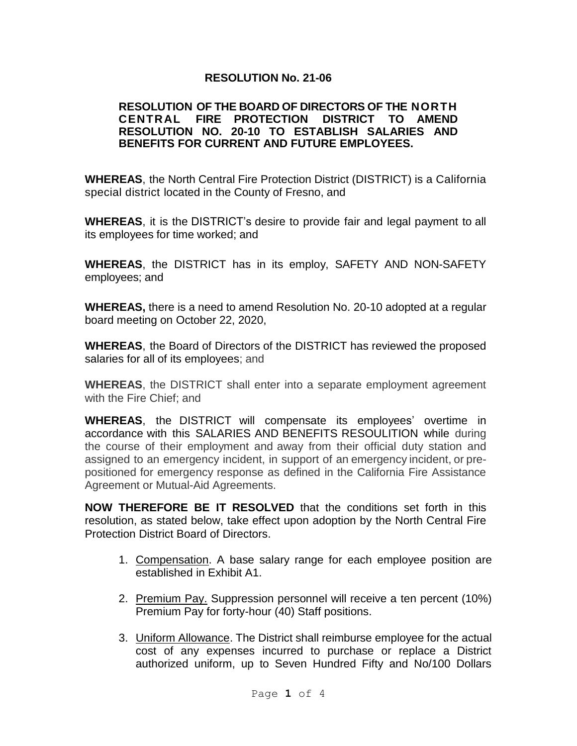#### **RESOLUTION No. 21-06**

#### **RESOLUTION OF THE BOARD OF DIRECTORS OF THE NORTH CENTRAL FIRE PROTECTION DISTRICT TO AMEND RESOLUTION NO. 20-10 TO ESTABLISH SALARIES AND BENEFITS FOR CURRENT AND FUTURE EMPLOYEES.**

**WHEREAS**, the North Central Fire Protection District (DISTRICT) is a California special district located in the County of Fresno, and

**WHEREAS**, it is the DISTRICT's desire to provide fair and legal payment to all its employees for time worked; and

**WHEREAS**, the DISTRICT has in its employ, SAFETY AND NON-SAFETY employees; and

**WHEREAS,** there is a need to amend Resolution No. 20-10 adopted at a regular board meeting on October 22, 2020,

**WHEREAS**, the Board of Directors of the DISTRICT has reviewed the proposed salaries for all of its employees; and

**WHEREAS**, the DISTRICT shall enter into a separate employment agreement with the Fire Chief; and

**WHEREAS**, the DISTRICT will compensate its employees' overtime in accordance with this SALARIES AND BENEFITS RESOULITION while during the course of their employment and away from their official duty station and assigned to an emergency incident, in support of an emergency incident, or prepositioned for emergency response as defined in the California Fire Assistance Agreement or Mutual-Aid Agreements.

**NOW THEREFORE BE IT RESOLVED** that the conditions set forth in this resolution, as stated below, take effect upon adoption by the North Central Fire Protection District Board of Directors.

- 1. Compensation. A base salary range for each employee position are established in Exhibit A1.
- 2. Premium Pay. Suppression personnel will receive a ten percent (10%) Premium Pay for forty-hour (40) Staff positions.
- 3. Uniform Allowance. The District shall reimburse employee for the actual cost of any expenses incurred to purchase or replace a District authorized uniform, up to Seven Hundred Fifty and No/100 Dollars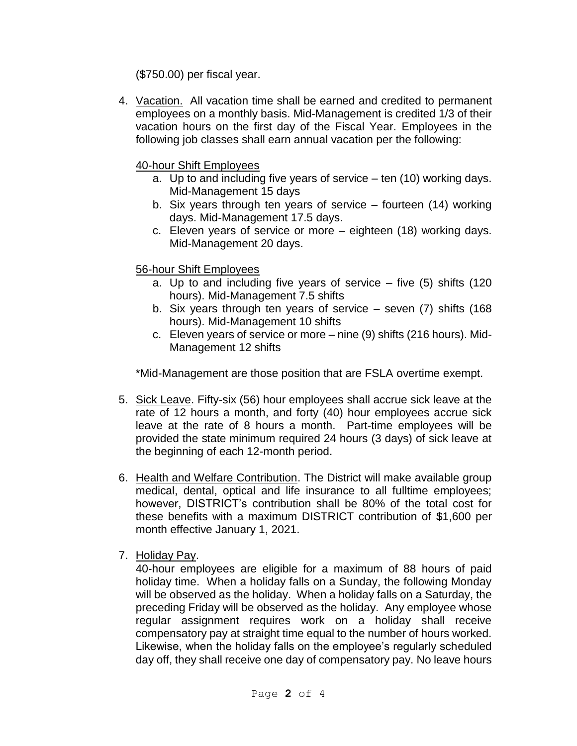(\$750.00) per fiscal year.

4. Vacation. All vacation time shall be earned and credited to permanent employees on a monthly basis. Mid-Management is credited 1/3 of their vacation hours on the first day of the Fiscal Year. Employees in the following job classes shall earn annual vacation per the following:

## 40-hour Shift Employees

- a. Up to and including five years of service ten (10) working days. Mid-Management 15 days
- b. Six years through ten years of service fourteen (14) working days. Mid-Management 17.5 days.
- c. Eleven years of service or more eighteen (18) working days. Mid-Management 20 days.

# 56-hour Shift Employees

- a. Up to and including five years of service five (5) shifts (120 hours). Mid-Management 7.5 shifts
- b. Six years through ten years of service seven (7) shifts (168 hours). Mid-Management 10 shifts
- c. Eleven years of service or more nine (9) shifts (216 hours). Mid-Management 12 shifts

\*Mid-Management are those position that are FSLA overtime exempt.

- 5. Sick Leave. Fifty-six (56) hour employees shall accrue sick leave at the rate of 12 hours a month, and forty (40) hour employees accrue sick leave at the rate of 8 hours a month. Part-time employees will be provided the state minimum required 24 hours (3 days) of sick leave at the beginning of each 12-month period.
- 6. Health and Welfare Contribution. The District will make available group medical, dental, optical and life insurance to all fulltime employees; however, DISTRICT's contribution shall be 80% of the total cost for these benefits with a maximum DISTRICT contribution of \$1,600 per month effective January 1, 2021.
- 7. Holiday Pay.

40-hour employees are eligible for a maximum of 88 hours of paid holiday time. When a holiday falls on a Sunday, the following Monday will be observed as the holiday. When a holiday falls on a Saturday, the preceding Friday will be observed as the holiday. Any employee whose regular assignment requires work on a holiday shall receive compensatory pay at straight time equal to the number of hours worked. Likewise, when the holiday falls on the employee's regularly scheduled day off, they shall receive one day of compensatory pay. No leave hours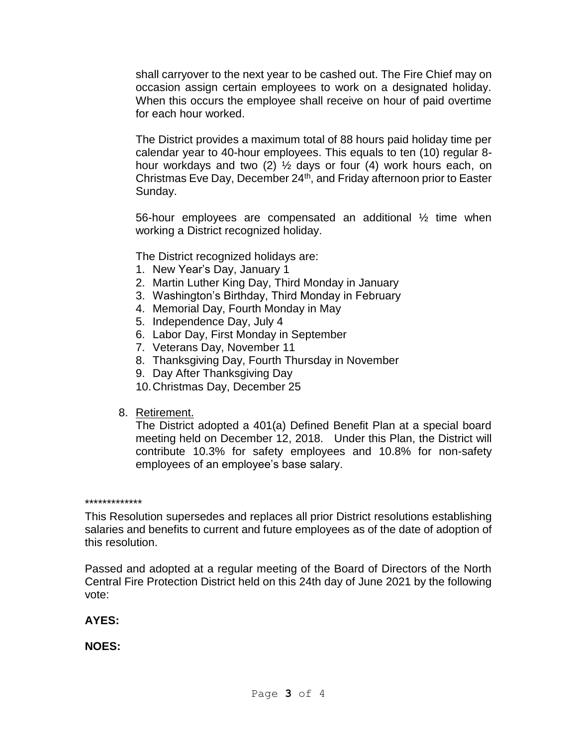shall carryover to the next year to be cashed out. The Fire Chief may on occasion assign certain employees to work on a designated holiday. When this occurs the employee shall receive on hour of paid overtime for each hour worked.

The District provides a maximum total of 88 hours paid holiday time per calendar year to 40-hour employees. This equals to ten (10) regular 8 hour workdays and two (2) ½ days or four (4) work hours each, on Christmas Eve Day, December 24th, and Friday afternoon prior to Easter Sunday.

56-hour employees are compensated an additional ½ time when working a District recognized holiday.

The District recognized holidays are:

- 1. New Year's Day, January 1
- 2. Martin Luther King Day, Third Monday in January
- 3. Washington's Birthday, Third Monday in February
- 4. Memorial Day, Fourth Monday in May
- 5. Independence Day, July 4
- 6. Labor Day, First Monday in September
- 7. Veterans Day, November 11
- 8. Thanksgiving Day, Fourth Thursday in November
- 9. Day After Thanksgiving Day
- 10.Christmas Day, December 25
- 8. Retirement.

The District adopted a 401(a) Defined Benefit Plan at a special board meeting held on December 12, 2018. Under this Plan, the District will contribute 10.3% for safety employees and 10.8% for non-safety employees of an employee's base salary.

\*\*\*\*\*\*\*\*\*\*\*\*\*

This Resolution supersedes and replaces all prior District resolutions establishing salaries and benefits to current and future employees as of the date of adoption of this resolution.

Passed and adopted at a regular meeting of the Board of Directors of the North Central Fire Protection District held on this 24th day of June 2021 by the following vote:

**AYES:**

**NOES:**